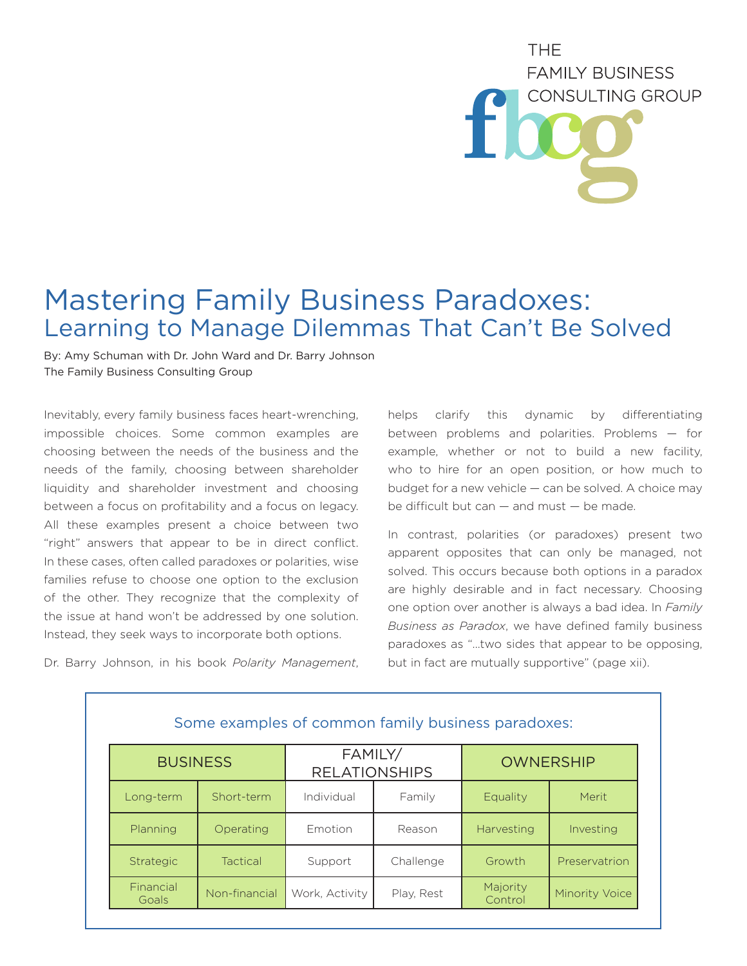## **THF FAMILY BUSINESS** CONSULTING GROUP

## Mastering Family Business Paradoxes: Learning to Manage Dilemmas That Can't Be Solved

By: Amy Schuman with Dr. John Ward and Dr. Barry Johnson The Family Business Consulting Group

Inevitably, every family business faces heart-wrenching, impossible choices. Some common examples are choosing between the needs of the business and the needs of the family, choosing between shareholder liquidity and shareholder investment and choosing between a focus on profitability and a focus on legacy. All these examples present a choice between two "right" answers that appear to be in direct conflict. In these cases, often called paradoxes or polarities, wise families refuse to choose one option to the exclusion of the other. They recognize that the complexity of the issue at hand won't be addressed by one solution. Instead, they seek ways to incorporate both options.

Dr. Barry Johnson, in his book *Polarity Management*,

helps clarify this dynamic by differentiating between problems and polarities. Problems — for example, whether or not to build a new facility, who to hire for an open position, or how much to budget for a new vehicle — can be solved. A choice may be difficult but can — and must — be made.

In contrast, polarities (or paradoxes) present two apparent opposites that can only be managed, not solved. This occurs because both options in a paradox are highly desirable and in fact necessary. Choosing one option over another is always a bad idea. In *Family Business as Paradox*, we have defined family business paradoxes as "…two sides that appear to be opposing, but in fact are mutually supportive" (page xii).

| Some examples of common family business paradoxes: |                 |                                 |            |                     |                       |
|----------------------------------------------------|-----------------|---------------------------------|------------|---------------------|-----------------------|
| <b>BUSINESS</b>                                    |                 | FAMILY/<br><b>RELATIONSHIPS</b> |            | <b>OWNERSHIP</b>    |                       |
| Long-term                                          | Short-term      | Individual                      | Family     | Equality            | Merit                 |
| Planning                                           | Operating       | Emotion                         | Reason     | Harvesting          | Investing             |
| <b>Strategic</b>                                   | <b>Tactical</b> | Support                         | Challenge  | Growth              | Preservatrion         |
| Financial<br>Goals                                 | Non-financial   | Work, Activity                  | Play, Rest | Majority<br>Control | <b>Minority Voice</b> |